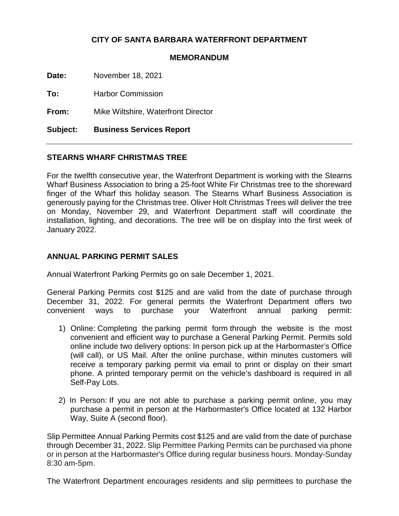## **CITY OF SANTA BARBARA WATERFRONT DEPARTMENT**

## **MEMORANDUM**

**Date:** November 18, 2021

**To:** Harbor Commission

**From:** Mike Wiltshire, Waterfront Director

**Subject: Business Services Report**

## **STEARNS WHARF CHRISTMAS TREE**

For the twelfth consecutive year, the Waterfront Department is working with the Stearns Wharf Business Association to bring a 25-foot White Fir Christmas tree to the shoreward finger of the Wharf this holiday season. The Stearns Wharf Business Association is generously paying for the Christmas tree. Oliver Holt Christmas Trees will deliver the tree on Monday, November 29, and Waterfront Department staff will coordinate the installation, lighting, and decorations. The tree will be on display into the first week of January 2022.

## **ANNUAL PARKING PERMIT SALES**

Annual Waterfront Parking Permits go on sale December 1, 2021.

General Parking Permits cost \$125 and are valid from the date of purchase through December 31, 2022. For general permits the Waterfront Department offers two convenient ways to purchase your Waterfront annual parking permit:

- 1) Online: Completing the [parking permit form](https://santabarbaraca.seamlessdocs.com/sf/GeneralPermit2021) through the website is the most convenient and efficient way to purchase a General Parking Permit. Permits sold online include two delivery options: In person pick up at the Harbormaster's Office (will call), or US Mail. After the online purchase, within minutes customers will receive a temporary parking permit via email to print or display on their smart phone. A printed temporary permit on the vehicle's dashboard is required in all Self-Pay Lots.
- 2) In Person: If you are not able to purchase a parking permit online, you may purchase a permit in person at the Harbormaster's Office located at 132 Harbor Way, Suite A (second floor).

Slip Permittee Annual Parking Permits cost \$125 and are valid from the date of purchase through December 31, 2022. Slip Permittee Parking Permits can be purchased via phone or in person at the Harbormaster's Office during regular business hours. Monday-Sunday 8:30 am-5pm.

The Waterfront Department encourages residents and slip permittees to purchase the